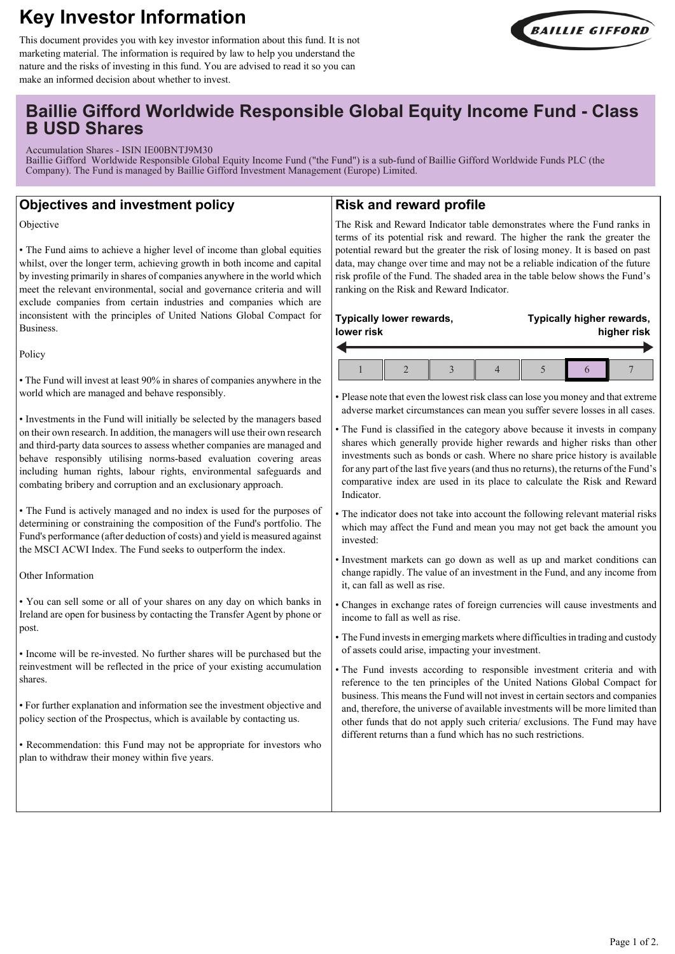# **Key Investor Information**



This document provides you with key investor information about this fund. It is not marketing material. The information is required by law to help you understand the nature and the risks of investing in this fund. You are advised to read it so you can make an informed decision about whether to invest.

## **Baillie Gifford Worldwide Responsible Global Equity Income Fund - Class B USD Shares**

Accumulation Shares - ISIN IE00BNTJ9M30

Baillie Gifford Worldwide Responsible Global Equity Income Fund ("the Fund") is a sub-fund of Baillie Gifford Worldwide Funds PLC (the Company). The Fund is managed by Baillie Gifford Investment Management (Europe) Limited.

## **Objectives and investment policy**

Objective

• The Fund aims to achieve a higher level of income than global equities whilst, over the longer term, achieving growth in both income and capital by investing primarily in shares of companies anywhere in the world which meet the relevant environmental, social and governance criteria and will exclude companies from certain industries and companies which are inconsistent with the principles of United Nations Global Compact for Business.

Policy

• The Fund will invest at least 90% in shares of companies anywhere in the world which are managed and behave responsibly.

• Investments in the Fund will initially be selected by the managers based on their own research. In addition, the managers will use their own research and third-party data sources to assess whether companies are managed and behave responsibly utilising norms-based evaluation covering areas including human rights, labour rights, environmental safeguards and combating bribery and corruption and an exclusionary approach.

• The Fund is actively managed and no index is used for the purposes of determining or constraining the composition of the Fund's portfolio. The Fund's performance (after deduction of costs) and yield is measured against the MSCI ACWI Index. The Fund seeks to outperform the index.

Other Information

• You can sell some or all of your shares on any day on which banks in Ireland are open for business by contacting the Transfer Agent by phone or post.

• Income will be re-invested. No further shares will be purchased but the reinvestment will be reflected in the price of your existing accumulation shares.

• For further explanation and information see the investment objective and policy section of the Prospectus, which is available by contacting us.

• Recommendation: this Fund may not be appropriate for investors who plan to withdraw their money within five years.

## **Risk and reward profile**

The Risk and Reward Indicator table demonstrates where the Fund ranks in terms of its potential risk and reward. The higher the rank the greater the potential reward but the greater the risk of losing money. It is based on past data, may change over time and may not be a reliable indication of the future risk profile of the Fund. The shaded area in the table below shows the Fund's ranking on the Risk and Reward Indicator.

| Typically lower rewards,<br>lower risk |  | Typically higher rewards,<br>higher risk |  |  |
|----------------------------------------|--|------------------------------------------|--|--|
|                                        |  |                                          |  |  |

• Please note that even the lowest risk class can lose you money and that extreme adverse market circumstances can mean you suffer severe losses in all cases.

- The Fund is classified in the category above because it invests in company shares which generally provide higher rewards and higher risks than other investments such as bonds or cash. Where no share price history is available for any part of the last five years (and thus no returns), the returns of the Fund's comparative index are used in its place to calculate the Risk and Reward Indicator.
- The indicator does not take into account the following relevant material risks which may affect the Fund and mean you may not get back the amount you invested:
- Investment markets can go down as well as up and market conditions can change rapidly. The value of an investment in the Fund, and any income from it, can fall as well as rise.
- Changes in exchange rates of foreign currencies will cause investments and income to fall as well as rise.
- The Fund invests in emerging markets where difficulties in trading and custody of assets could arise, impacting your investment.
- The Fund invests according to responsible investment criteria and with reference to the ten principles of the United Nations Global Compact for business. This means the Fund will not invest in certain sectors and companies and, therefore, the universe of available investments will be more limited than other funds that do not apply such criteria/ exclusions. The Fund may have different returns than a fund which has no such restrictions.